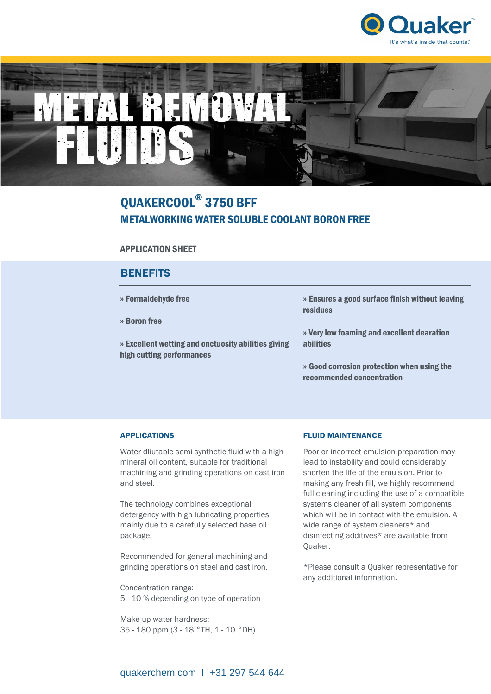



# QUAKERCOOL® 3750 BFF METALWORKING WATER SOLUBLE COOLANT BORON FREE

# APPLICATION SHEET

# **BENEFITS**

| » Formaldehyde free                                                              | » Ensures a good surface finish without leaving<br>residues             |
|----------------------------------------------------------------------------------|-------------------------------------------------------------------------|
| » Boron free                                                                     |                                                                         |
| » Excellent wetting and onctuosity abilities giving<br>high cutting performances | » Very low foaming and excellent dearation<br><b>abilities</b>          |
|                                                                                  | » Good corrosion protection when using the<br>recommended concentration |

## APPLICATIONS

Water dliutable semi-synthetic fluid with a high mineral oil content, suitable for traditional machining and grinding operations on cast-iron and steel.

The technology combines exceptional detergency with high lubricating properties mainly due to a carefully selected base oil package.

Recommended for general machining and grinding operations on steel and cast iron.

Concentration range: 5 - 10 % depending on type of operation

Make up water hardness: 35 - 180 ppm (3 - 18 °TH, 1 - 10 °DH)

### FLUID MAINTENANCE

Poor or incorrect emulsion preparation may lead to instability and could considerably shorten the life of the emulsion. Prior to making any fresh fill, we highly recommend full cleaning including the use of a compatible systems cleaner of all system components which will be in contact with the emulsion. A wide range of system cleaners\* and disinfecting additives\* are available from Quaker.

\*Please consult a Quaker representative for any additional information.